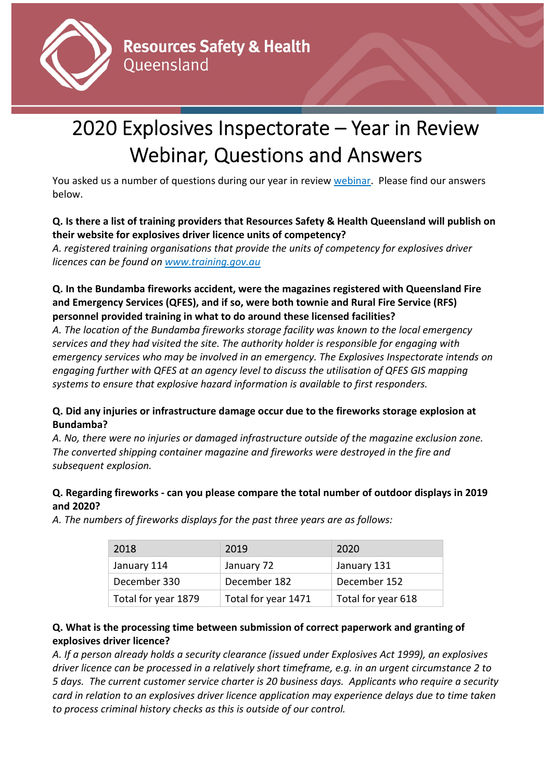

# 2020 Explosives Inspectorate – Year in Review Webinar, Questions and Answers

You asked us a number of questions during our year in review [webinar.](https://www.youtube.com/watch?v=9c6R87KsFMw) Please find our answers below.

## **Q. Is there a list of training providers that Resources Safety & Health Queensland will publish on their website for explosives driver licence units of competency?**

*A. registered training organisations that provide the units of competency for explosives driver licences can be found on [www.training.gov.au](http://www.training.gov.au/)*

## **Q. In the Bundamba fireworks accident, were the magazines registered with Queensland Fire and Emergency Services (QFES), and if so, were both townie and Rural Fire Service (RFS) personnel provided training in what to do around these licensed facilities?**

*A. The location of the Bundamba fireworks storage facility was known to the local emergency services and they had visited the site. The authority holder is responsible for engaging with emergency services who may be involved in an emergency. The Explosives Inspectorate intends on engaging further with QFES at an agency level to discuss the utilisation of QFES GIS mapping systems to ensure that explosive hazard information is available to first responders.*

# **Q. Did any injuries or infrastructure damage occur due to the fireworks storage explosion at Bundamba?**

*A. No, there were no injuries or damaged infrastructure outside of the magazine exclusion zone. The converted shipping container magazine and fireworks were destroyed in the fire and subsequent explosion.*

# **Q. Regarding fireworks - can you please compare the total number of outdoor displays in 2019 and 2020?**

*A. The numbers of fireworks displays for the past three years are as follows:*

| 2018                | 2019                | 2020               |
|---------------------|---------------------|--------------------|
| January 114         | January 72          | January 131        |
| December 330        | December 182        | December 152       |
| Total for year 1879 | Total for year 1471 | Total for year 618 |

## **Q. What is the processing time between submission of correct paperwork and granting of explosives driver licence?**

*A. If a person already holds a security clearance (issued under Explosives Act 1999), an explosives driver licence can be processed in a relatively short timeframe, e.g. in an urgent circumstance 2 to 5 days. The current customer service charter is 20 business days. Applicants who require a security card in relation to an explosives driver licence application may experience delays due to time taken to process criminal history checks as this is outside of our control.*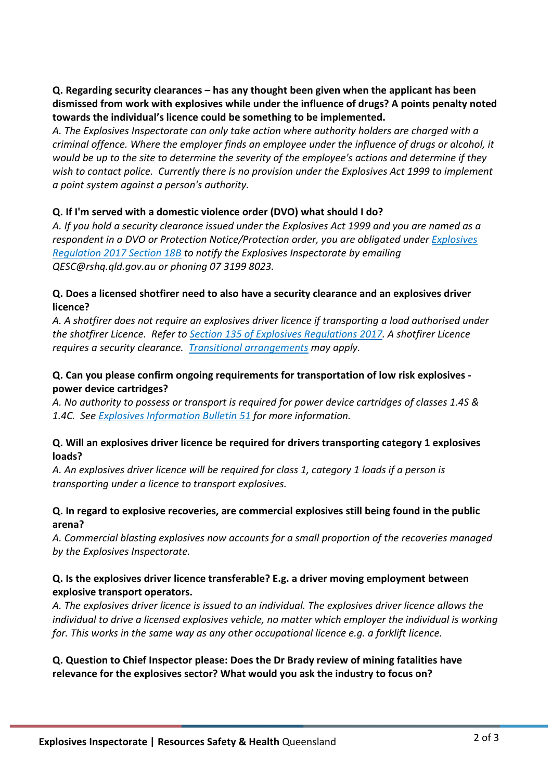**Q. Regarding security clearances – has any thought been given when the applicant has been dismissed from work with explosives while under the influence of drugs? A points penalty noted towards the individual's licence could be something to be implemented.** 

*A. The Explosives Inspectorate can only take action where authority holders are charged with a criminal offence. Where the employer finds an employee under the influence of drugs or alcohol, it would be up to the site to determine the severity of the employee's actions and determine if they wish to contact police. Currently there is no provision under the Explosives Act 1999 to implement a point system against a person's authority.* 

#### **Q. If I'm served with a domestic violence order (DVO) what should I do?**

*A. If you hold a security clearance issued under the Explosives Act 1999 and you are named as a respondent in a DVO or Protection Notice/Protection order, you are obligated under [Explosives](https://www.legislation.qld.gov.au/view/html/inforce/current/sl-2017-0150#sec.18B)  [Regulation 2017 Section 18B](https://www.legislation.qld.gov.au/view/html/inforce/current/sl-2017-0150#sec.18B) to notify the Explosives Inspectorate by emailing QESC@rshq.qld.gov.au or phoning 07 3199 8023.* 

#### **Q. Does a licensed shotfirer need to also have a security clearance and an explosives driver licence?**

*A. A shotfirer does not require an explosives driver licence if transporting a load authorised under the shotfirer Licence. Refer t[o Section 135 of Explosives Regulations 2017.](https://www.legislation.qld.gov.au/view/html/inforce/current/sl-2017-0150#sec.135) A shotfirer Licence requires a security clearance. [Transitional arrangements](https://www.vision6.com.au/v/23788/1774167071/email.html?k=Gtpv7rKX7OANWqVRFn1VOjLTs1Yps7FmqnAvadSqRLA) may apply.* 

#### **Q. Can you please confirm ongoing requirements for transportation of low risk explosives power device cartridges?**

*A. No authority to possess or transport is required for power device cartridges of classes 1.4S & 1.4C. See [Explosives Information Bulletin 51](https://www.rshq.qld.gov.au/safety-notices/explosives/Transport-of-low-risk-loads-of-explosives) for more information.*

#### **Q. Will an explosives driver licence be required for drivers transporting category 1 explosives loads?**

*A. An explosives driver licence will be required for class 1, category 1 loads if a person is transporting under a licence to transport explosives.* 

#### **Q. In regard to explosive recoveries, are commercial explosives still being found in the public arena?**

*A. Commercial blasting explosives now accounts for a small proportion of the recoveries managed by the Explosives Inspectorate.* 

#### **Q. Is the explosives driver licence transferable? E.g. a driver moving employment between explosive transport operators.**

*A. The explosives driver licence is issued to an individual. The explosives driver licence allows the individual to drive a licensed explosives vehicle, no matter which employer the individual is working for. This works in the same way as any other occupational licence e.g. a forklift licence.* 

## **Q. Question to Chief Inspector please: Does the Dr Brady review of mining fatalities have relevance for the explosives sector? What would you ask the industry to focus on?**